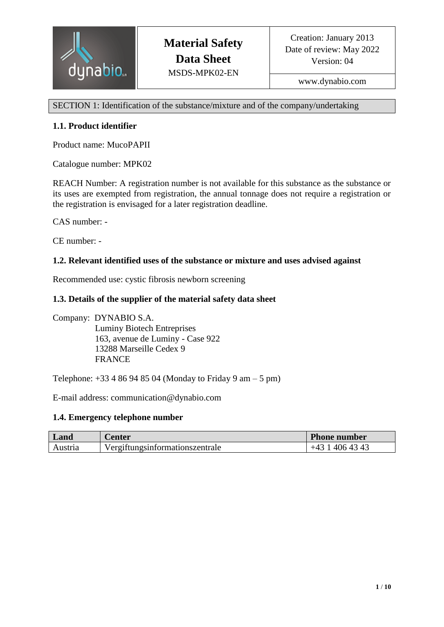

www.dynabio.com

SECTION 1: Identification of the substance/mixture and of the company/undertaking

# **1.1. Product identifier**

Product name: MucoPAPII

Catalogue number: MPK02

REACH Number: A registration number is not available for this substance as the substance or its uses are exempted from registration, the annual tonnage does not require a registration or the registration is envisaged for a later registration deadline.

CAS number: -

CE number: -

# **1.2. Relevant identified uses of the substance or mixture and uses advised against**

Recommended use: cystic fibrosis newborn screening

# **1.3. Details of the supplier of the material safety data sheet**

Company: DYNABIO S.A. Luminy Biotech Entreprises 163, avenue de Luminy - Case 922 13288 Marseille Cedex 9 FRANCE

Telephone:  $+33486948504$  (Monday to Friday 9 am – 5 pm)

E-mail address: communication@dynabio.com

#### **1.4. Emergency telephone number**

| Land    | <i>C</i> enter                  | Phone number |
|---------|---------------------------------|--------------|
| Austria | Vergiftungsinformationszentrale | 406 43 43    |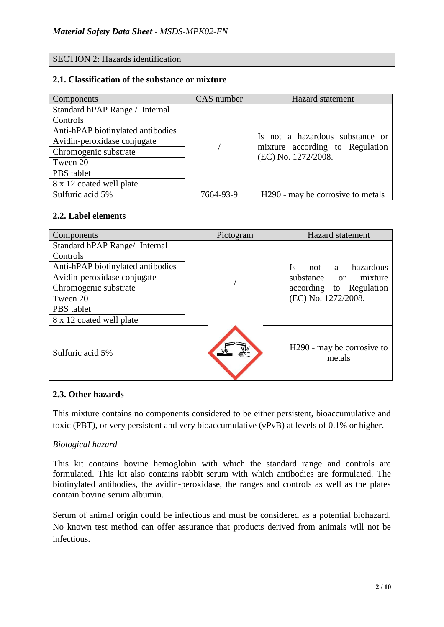### SECTION 2: Hazards identification

#### **2.1. Classification of the substance or mixture**

| Components                        | CAS number | Hazard statement                                       |  |
|-----------------------------------|------------|--------------------------------------------------------|--|
| Standard hPAP Range / Internal    |            |                                                        |  |
| Controls                          |            |                                                        |  |
| Anti-hPAP biotinylated antibodies |            |                                                        |  |
| Avidin-peroxidase conjugate       |            | Is not a hazardous substance or                        |  |
| Chromogenic substrate             |            | mixture according to Regulation<br>(EC) No. 1272/2008. |  |
| Tween 20                          |            |                                                        |  |
| PBS tablet                        |            |                                                        |  |
| 8 x 12 coated well plate          |            |                                                        |  |
| Sulfuric acid 5%                  | 7664-93-9  | H290 - may be corrosive to metals                      |  |

#### **2.2. Label elements**

| Components                        | Pictogram | <b>Hazard</b> statement                          |  |
|-----------------------------------|-----------|--------------------------------------------------|--|
| Standard hPAP Range/ Internal     |           |                                                  |  |
| Controls                          |           |                                                  |  |
| Anti-hPAP biotinylated antibodies |           | hazardous<br>Is<br>not<br>a a                    |  |
| Avidin-peroxidase conjugate       |           | substance or mixture                             |  |
| Chromogenic substrate             |           | according to Regulation                          |  |
| Tween 20                          |           | (EC) No. 1272/2008.                              |  |
| PBS tablet                        |           |                                                  |  |
| 8 x 12 coated well plate          |           |                                                  |  |
| Sulfuric acid 5%                  |           | H <sub>290</sub> - may be corrosive to<br>metals |  |

#### **2.3. Other hazards**

This mixture contains no components considered to be either persistent, bioaccumulative and toxic (PBT), or very persistent and very bioaccumulative (vPvB) at levels of 0.1% or higher.

#### *Biological hazard*

This kit contains bovine hemoglobin with which the standard range and controls are formulated. This kit also contains rabbit serum with which antibodies are formulated. The biotinylated antibodies, the avidin-peroxidase, the ranges and controls as well as the plates contain bovine serum albumin.

Serum of animal origin could be infectious and must be considered as a potential biohazard. No known test method can offer assurance that products derived from animals will not be infectious.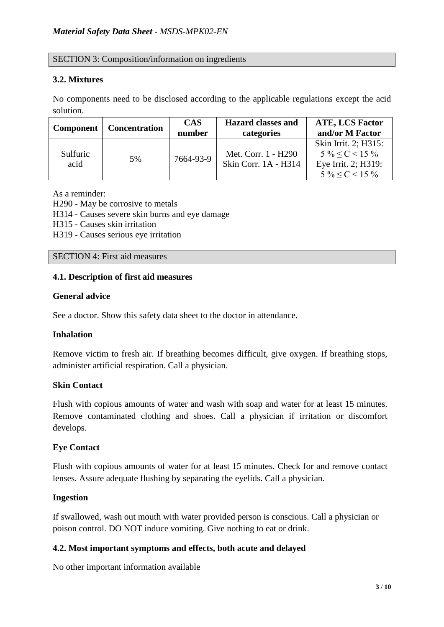# SECTION 3: Composition/information on ingredients

# **3.2. Mixtures**

No components need to be disclosed according to the applicable regulations except the acid solution.

| <b>Component</b> | <b>Concentration</b> | <b>CAS</b><br>number | <b>Hazard classes and</b><br>categories     | <b>ATE, LCS Factor</b><br>and/or M Factor                                                       |
|------------------|----------------------|----------------------|---------------------------------------------|-------------------------------------------------------------------------------------------------|
| Sulfuric<br>acid | 5%                   | 7664-93-9            | Met. Corr. 1 - H290<br>Skin Corr. 1A - H314 | Skin Irrit. 2; H315:<br>$5\% \leq C \leq 15\%$<br>Eye Irrit. 2; H319:<br>$5\% \leq C \leq 15\%$ |

As a reminder: H290 - May be corrosive to metals H314 - Causes severe skin burns and eye damage H315 - Causes skin irritation H319 - Causes serious eye irritation

SECTION 4: First aid measures

# **4.1. Description of first aid measures**

#### **General advice**

See a doctor. Show this safety data sheet to the doctor in attendance.

#### **Inhalation**

Remove victim to fresh air. If breathing becomes difficult, give oxygen. If breathing stops, administer artificial respiration. Call a physician.

#### **Skin Contact**

Flush with copious amounts of water and wash with soap and water for at least 15 minutes. Remove contaminated clothing and shoes. Call a physician if irritation or discomfort develops.

#### **Eye Contact**

Flush with copious amounts of water for at least 15 minutes. Check for and remove contact lenses. Assure adequate flushing by separating the eyelids. Call a physician.

#### **Ingestion**

If swallowed, wash out mouth with water provided person is conscious. Call a physician or poison control. DO NOT induce vomiting. Give nothing to eat or drink.

# **4.2. Most important symptoms and effects, both acute and delayed**

No other important information available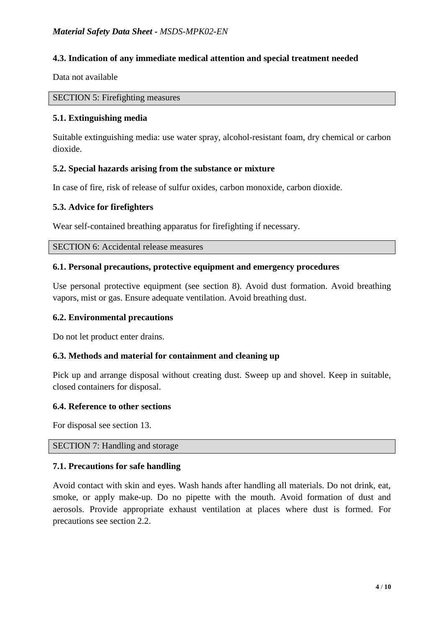# **4.3. Indication of any immediate medical attention and special treatment needed**

Data not available

#### SECTION 5: Firefighting measures

# **5.1. Extinguishing media**

Suitable extinguishing media: use water spray, alcohol-resistant foam, dry chemical or carbon dioxide.

# **5.2. Special hazards arising from the substance or mixture**

In case of fire, risk of release of sulfur oxides, carbon monoxide, carbon dioxide.

# **5.3. Advice for firefighters**

Wear self-contained breathing apparatus for firefighting if necessary.

SECTION 6: Accidental release measures

# **6.1. Personal precautions, protective equipment and emergency procedures**

Use personal protective equipment (see section 8). Avoid dust formation. Avoid breathing vapors, mist or gas. Ensure adequate ventilation. Avoid breathing dust.

# **6.2. Environmental precautions**

Do not let product enter drains.

# **6.3. Methods and material for containment and cleaning up**

Pick up and arrange disposal without creating dust. Sweep up and shovel. Keep in suitable, closed containers for disposal.

#### **6.4. Reference to other sections**

For disposal see section 13.

SECTION 7: Handling and storage

#### **7.1. Precautions for safe handling**

Avoid contact with skin and eyes. Wash hands after handling all materials. Do not drink, eat, smoke, or apply make-up. Do no pipette with the mouth. Avoid formation of dust and aerosols. Provide appropriate exhaust ventilation at places where dust is formed. For precautions see section 2.2.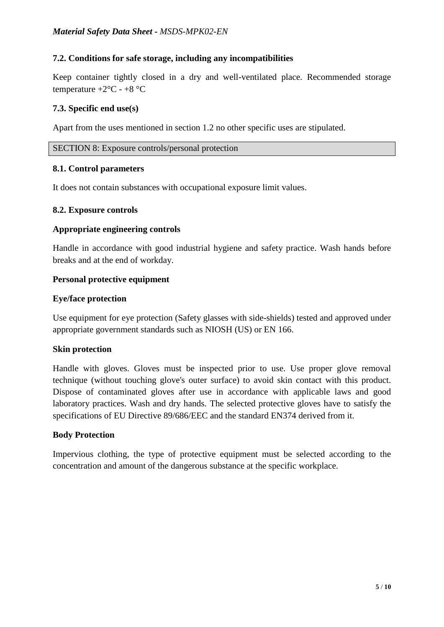# **7.2. Conditions for safe storage, including any incompatibilities**

Keep container tightly closed in a dry and well-ventilated place. Recommended storage temperature  $+2$ °C -  $+8$ °C

# **7.3. Specific end use(s)**

Apart from the uses mentioned in section 1.2 no other specific uses are stipulated.

### SECTION 8: Exposure controls/personal protection

#### **8.1. Control parameters**

It does not contain substances with occupational exposure limit values.

# **8.2. Exposure controls**

# **Appropriate engineering controls**

Handle in accordance with good industrial hygiene and safety practice. Wash hands before breaks and at the end of workday.

# **Personal protective equipment**

# **Eye/face protection**

Use equipment for eye protection (Safety glasses with side-shields) tested and approved under appropriate government standards such as NIOSH (US) or EN 166.

# **Skin protection**

Handle with gloves. Gloves must be inspected prior to use. Use proper glove removal technique (without touching glove's outer surface) to avoid skin contact with this product. Dispose of contaminated gloves after use in accordance with applicable laws and good laboratory practices. Wash and dry hands. The selected protective gloves have to satisfy the specifications of EU Directive 89/686/EEC and the standard EN374 derived from it.

#### **Body Protection**

Impervious clothing, the type of protective equipment must be selected according to the concentration and amount of the dangerous substance at the specific workplace.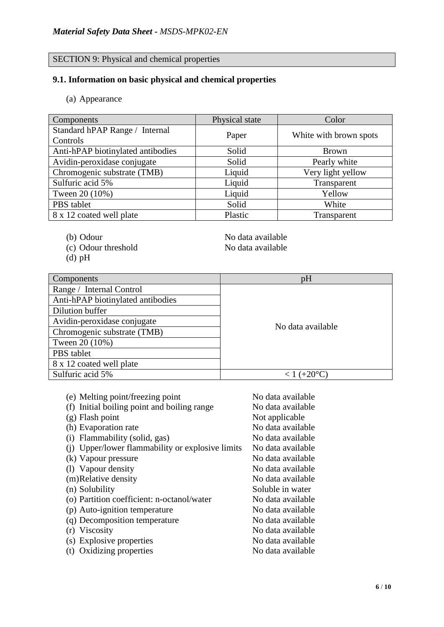# SECTION 9: Physical and chemical properties

# **9.1. Information on basic physical and chemical properties**

(a) Appearance

| Components                        | Physical state | Color                  |
|-----------------------------------|----------------|------------------------|
| Standard hPAP Range / Internal    | Paper          | White with brown spots |
| Controls                          |                |                        |
| Anti-hPAP biotinylated antibodies | Solid          | <b>Brown</b>           |
| Avidin-peroxidase conjugate       | Solid          | Pearly white           |
| Chromogenic substrate (TMB)       | Liquid         | Very light yellow      |
| Sulfuric acid 5%                  | Liquid         | Transparent            |
| Tween 20 (10%)                    | Liquid         | Yellow                 |
| PBS tablet                        | Solid          | White                  |
| 8 x 12 coated well plate          | Plastic        | Transparent            |

- 
- (c) Odour threshold No data available
- (d) pH

(b) Odour No data available

| Components                        | pH                   |
|-----------------------------------|----------------------|
| Range / Internal Control          |                      |
| Anti-hPAP biotinylated antibodies |                      |
| Dilution buffer                   |                      |
| Avidin-peroxidase conjugate       | No data available    |
| Chromogenic substrate (TMB)       |                      |
| Tween 20 (10%)                    |                      |
| PBS tablet                        |                      |
| 8 x 12 coated well plate          |                      |
| Sulfuric acid 5%                  | $< 1 (+20^{\circ}C)$ |

| (e) Melting point/freezing point                 | No data available |
|--------------------------------------------------|-------------------|
| (f) Initial boiling point and boiling range      | No data available |
| $(g)$ Flash point                                | Not applicable    |
| (h) Evaporation rate                             | No data available |
| (i) Flammability (solid, gas)                    | No data available |
| (i) Upper/lower flammability or explosive limits | No data available |
| (k) Vapour pressure                              | No data available |
| (1) Vapour density                               | No data available |
| (m)Relative density                              | No data available |
| (n) Solubility                                   | Soluble in water  |
| (o) Partition coefficient: n-octanol/water       | No data available |
| (p) Auto-ignition temperature                    | No data available |
| (q) Decomposition temperature                    | No data available |
| (r) Viscosity                                    | No data available |
| (s) Explosive properties                         | No data available |
| (t) Oxidizing properties                         | No data available |
|                                                  |                   |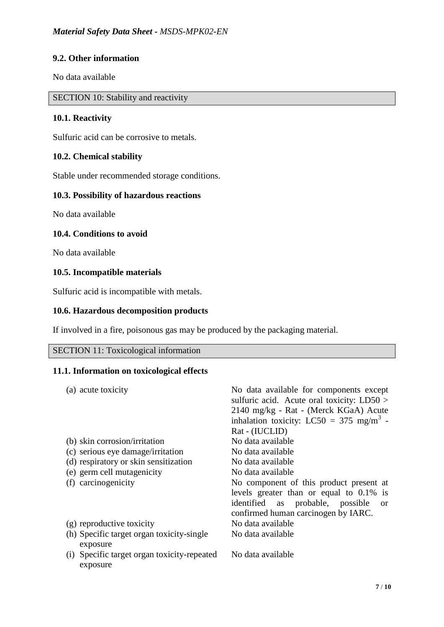# **9.2. Other information**

No data available

SECTION 10: Stability and reactivity

# **10.1. Reactivity**

Sulfuric acid can be corrosive to metals.

# **10.2. Chemical stability**

Stable under recommended storage conditions.

# **10.3. Possibility of hazardous reactions**

No data available

#### **10.4. Conditions to avoid**

No data available

#### **10.5. Incompatible materials**

Sulfuric acid is incompatible with metals.

### **10.6. Hazardous decomposition products**

If involved in a fire, poisonous gas may be produced by the packaging material.

# SECTION 11: Toxicological information

# **11.1. Information on toxicological effects**

| (a) acute toxicity                          | No data available for components except              |
|---------------------------------------------|------------------------------------------------------|
|                                             | sulfuric acid. Acute oral toxicity: $LD50 >$         |
|                                             | 2140 mg/kg - Rat - (Merck KGaA) Acute                |
|                                             | inhalation toxicity: LC50 = 375 mg/m <sup>3</sup> -  |
|                                             | Rat - (IUCLID)                                       |
| (b) skin corrosion/irritation               | No data available                                    |
| (c) serious eye damage/irritation           | No data available                                    |
| (d) respiratory or skin sensitization       | No data available                                    |
| (e) germ cell mutagenicity                  | No data available                                    |
| (f) carcinogenicity                         | No component of this product present at              |
|                                             | levels greater than or equal to $0.1\%$ is           |
|                                             | identified<br>as probable, possible<br><sub>or</sub> |
|                                             | confirmed human carcinogen by IARC.                  |
| (g) reproductive toxicity                   | No data available                                    |
| (h) Specific target organ toxicity-single   | No data available                                    |
| exposure                                    |                                                      |
| (i) Specific target organ toxicity-repeated | No data available                                    |
| exposure                                    |                                                      |
|                                             |                                                      |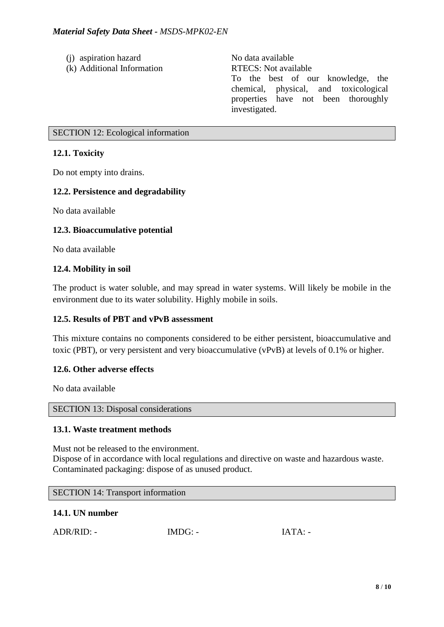- (i) aspiration hazard No data available
- (k) Additional Information RTECS: Not available

To the best of our knowledge, the chemical, physical, and toxicological properties have not been thoroughly investigated.

# SECTION 12: Ecological information

# **12.1. Toxicity**

Do not empty into drains.

# **12.2. Persistence and degradability**

No data available

# **12.3. Bioaccumulative potential**

No data available

# **12.4. Mobility in soil**

The product is water soluble, and may spread in water systems. Will likely be mobile in the environment due to its water solubility. Highly mobile in soils.

# **12.5. Results of PBT and vPvB assessment**

This mixture contains no components considered to be either persistent, bioaccumulative and toxic (PBT), or very persistent and very bioaccumulative (vPvB) at levels of 0.1% or higher.

# **12.6. Other adverse effects**

No data available

# SECTION 13: Disposal considerations

# **13.1. Waste treatment methods**

Must not be released to the environment. Dispose of in accordance with local regulations and directive on waste and hazardous waste. Contaminated packaging: dispose of as unused product.

#### SECTION 14: Transport information

# **14.1. UN number**

|  | $ADR/RID: -$ | $IMDG: -$ | IATA: |
|--|--------------|-----------|-------|
|--|--------------|-----------|-------|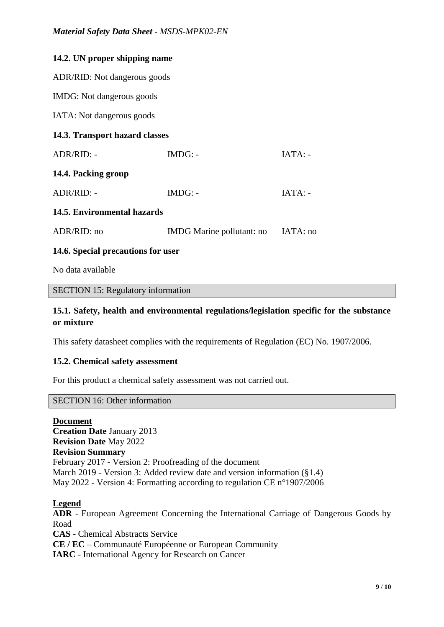| 14.2. UN proper shipping name      |                           |           |  |  |
|------------------------------------|---------------------------|-----------|--|--|
| ADR/RID: Not dangerous goods       |                           |           |  |  |
| IMDG: Not dangerous goods          |                           |           |  |  |
| IATA: Not dangerous goods          |                           |           |  |  |
| 14.3. Transport hazard classes     |                           |           |  |  |
| ADR/RID: -                         | $IMDG: -$                 | $IATA: -$ |  |  |
| 14.4. Packing group                |                           |           |  |  |
| ADR/RID: -                         | $IMDG: -$                 | $IATA: -$ |  |  |
| 14.5. Environmental hazards        |                           |           |  |  |
| ADR/RID: no                        | IMDG Marine pollutant: no | IATA: no  |  |  |
| 14.6. Special precautions for user |                           |           |  |  |

No data available

#### SECTION 15: Regulatory information

# **15.1. Safety, health and environmental regulations/legislation specific for the substance or mixture**

This safety datasheet complies with the requirements of Regulation (EC) No. 1907/2006.

#### **15.2. Chemical safety assessment**

For this product a chemical safety assessment was not carried out.

#### SECTION 16: Other information

#### **Document**

**Creation Date** January 2013 **Revision Date** May 2022 **Revision Summary** February 2017 - Version 2: Proofreading of the document March 2019 - Version 3: Added review date and version information (§1.4) May 2022 - Version 4: Formatting according to regulation CE n°1907/2006

#### **Legend**

**ADR** - European Agreement Concerning the International Carriage of Dangerous Goods by Road **CAS** - Chemical Abstracts Service **CE / EC** – Communauté Européenne or European Community **IARC** - International Agency for Research on Cancer